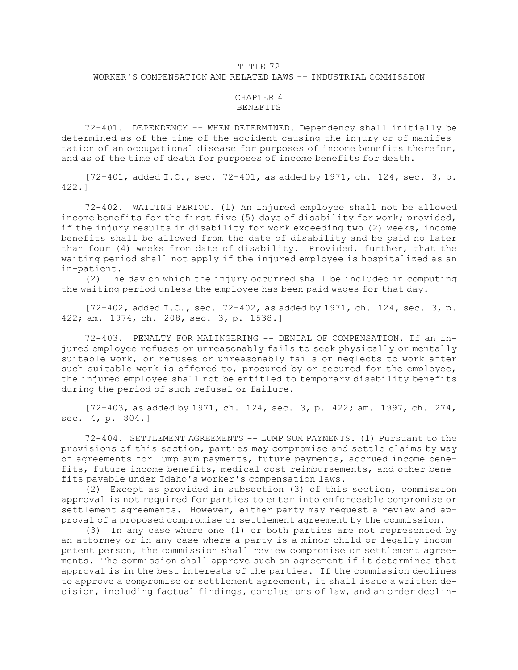## TITLE 72 WORKER'S COMPENSATION AND RELATED LAWS -- INDUSTRIAL COMMISSION

## CHAPTER 4 BENEFITS

72-401. DEPENDENCY -- WHEN DETERMINED. Dependency shall initially be determined as of the time of the accident causing the injury or of manifestation of an occupational disease for purposes of income benefits therefor, and as of the time of death for purposes of income benefits for death.

 $[72-401,$  added I.C., sec.  $72-401$ , as added by 1971, ch. 124, sec. 3, p. 422.]

72-402. WAITING PERIOD. (1) An injured employee shall not be allowed income benefits for the first five (5) days of disability for work; provided, if the injury results in disability for work exceeding two (2) weeks, income benefits shall be allowed from the date of disability and be paid no later than four (4) weeks from date of disability. Provided, further, that the waiting period shall not apply if the injured employee is hospitalized as an in-patient.

(2) The day on which the injury occurred shall be included in computing the waiting period unless the employee has been paid wages for that day.

 $[72-402,$  added I.C., sec.  $72-402$ , as added by 1971, ch. 124, sec. 3, p. 422; am. 1974, ch. 208, sec. 3, p. 1538.]

72-403. PENALTY FOR MALINGERING -- DENIAL OF COMPENSATION. If an injured employee refuses or unreasonably fails to seek physically or mentally suitable work, or refuses or unreasonably fails or neglects to work after such suitable work is offered to, procured by or secured for the employee, the injured employee shall not be entitled to temporary disability benefits during the period of such refusal or failure.

[72-403, as added by 1971, ch. 124, sec. 3, p. 422; am. 1997, ch. 274, sec. 4, p. 804.]

72-404. SETTLEMENT AGREEMENTS -- LUMP SUM PAYMENTS. (1) Pursuant to the provisions of this section, parties may compromise and settle claims by way of agreements for lump sum payments, future payments, accrued income benefits, future income benefits, medical cost reimbursements, and other benefits payable under Idaho's worker's compensation laws.

(2) Except as provided in subsection (3) of this section, commission approval is not required for parties to enter into enforceable compromise or settlement agreements. However, either party may request <sup>a</sup> review and approval of <sup>a</sup> proposed compromise or settlement agreement by the commission.

(3) In any case where one (1) or both parties are not represented by an attorney or in any case where <sup>a</sup> party is <sup>a</sup> minor child or legally incompetent person, the commission shall review compromise or settlement agreements. The commission shall approve such an agreement if it determines that approval is in the best interests of the parties. If the commission declines to approve <sup>a</sup> compromise or settlement agreement, it shall issue <sup>a</sup> written decision, including factual findings, conclusions of law, and an order declin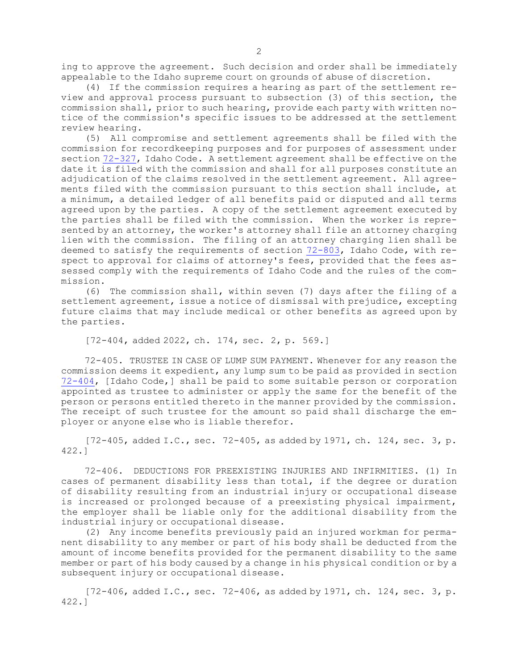ing to approve the agreement. Such decision and order shall be immediately appealable to the Idaho supreme court on grounds of abuse of discretion.

(4) If the commission requires <sup>a</sup> hearing as part of the settlement review and approval process pursuant to subsection (3) of this section, the commission shall, prior to such hearing, provide each party with written notice of the commission's specific issues to be addressed at the settlement review hearing.

(5) All compromise and settlement agreements shall be filed with the commission for recordkeeping purposes and for purposes of assessment under section [72-327](https://legislature.idaho.gov/statutesrules/idstat/Title72/T72CH3/SECT72-327), Idaho Code. <sup>A</sup> settlement agreement shall be effective on the date it is filed with the commission and shall for all purposes constitute an adjudication of the claims resolved in the settlement agreement. All agreements filed with the commission pursuant to this section shall include, at <sup>a</sup> minimum, <sup>a</sup> detailed ledger of all benefits paid or disputed and all terms agreed upon by the parties. <sup>A</sup> copy of the settlement agreement executed by the parties shall be filed with the commission. When the worker is represented by an attorney, the worker's attorney shall file an attorney charging lien with the commission. The filing of an attorney charging lien shall be deemed to satisfy the requirements of section [72-803](https://legislature.idaho.gov/statutesrules/idstat/Title72/T72CH8/SECT72-803), Idaho Code, with respect to approval for claims of attorney's fees, provided that the fees assessed comply with the requirements of Idaho Code and the rules of the commission.

(6) The commission shall, within seven (7) days after the filing of <sup>a</sup> settlement agreement, issue <sup>a</sup> notice of dismissal with prejudice, excepting future claims that may include medical or other benefits as agreed upon by the parties.

[72-404, added 2022, ch. 174, sec. 2, p. 569.]

72-405. TRUSTEE IN CASE OF LUMP SUM PAYMENT. Whenever for any reason the commission deems it expedient, any lump sum to be paid as provided in section [72-404](https://legislature.idaho.gov/statutesrules/idstat/Title72/T72CH4/SECT72-404), [Idaho Code,] shall be paid to some suitable person or corporation appointed as trustee to administer or apply the same for the benefit of the person or persons entitled thereto in the manner provided by the commission. The receipt of such trustee for the amount so paid shall discharge the employer or anyone else who is liable therefor.

 $[72-405,$  added I.C., sec.  $72-405$ , as added by 1971, ch. 124, sec. 3, p. 422.]

72-406. DEDUCTIONS FOR PREEXISTING INJURIES AND INFIRMITIES. (1) In cases of permanent disability less than total, if the degree or duration of disability resulting from an industrial injury or occupational disease is increased or prolonged because of <sup>a</sup> preexisting physical impairment, the employer shall be liable only for the additional disability from the industrial injury or occupational disease.

(2) Any income benefits previously paid an injured workman for permanent disability to any member or part of his body shall be deducted from the amount of income benefits provided for the permanent disability to the same member or part of his body caused by <sup>a</sup> change in his physical condition or by <sup>a</sup> subsequent injury or occupational disease.

 $[72-406, \text{ added I.C.}, \text{sec. } 72-406, \text{as added by } 1971, \text{ ch. } 124, \text{ sec. } 3, \text{ p.}$ 422.]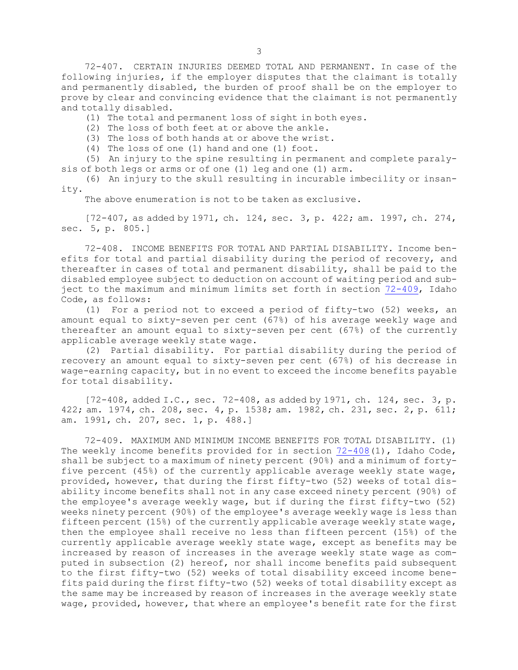72-407. CERTAIN INJURIES DEEMED TOTAL AND PERMANENT. In case of the following injuries, if the employer disputes that the claimant is totally and permanently disabled, the burden of proof shall be on the employer to prove by clear and convincing evidence that the claimant is not permanently and totally disabled.

(1) The total and permanent loss of sight in both eyes.

(2) The loss of both feet at or above the ankle.

(3) The loss of both hands at or above the wrist.

(4) The loss of one (1) hand and one (1) foot.

(5) An injury to the spine resulting in permanent and complete paralysis of both legs or arms or of one (1) leg and one (1) arm.

(6) An injury to the skull resulting in incurable imbecility or insanity.

The above enumeration is not to be taken as exclusive.

[72-407, as added by 1971, ch. 124, sec. 3, p. 422; am. 1997, ch. 274, sec. 5, p. 805.]

72-408. INCOME BENEFITS FOR TOTAL AND PARTIAL DISABILITY. Income benefits for total and partial disability during the period of recovery, and thereafter in cases of total and permanent disability, shall be paid to the disabled employee subject to deduction on account of waiting period and subject to the maximum and minimum limits set forth in section [72-409](https://legislature.idaho.gov/statutesrules/idstat/Title72/T72CH4/SECT72-409), Idaho Code, as follows:

(1) For <sup>a</sup> period not to exceed <sup>a</sup> period of fifty-two (52) weeks, an amount equal to sixty-seven per cent (67%) of his average weekly wage and thereafter an amount equal to sixty-seven per cent (67%) of the currently applicable average weekly state wage.

(2) Partial disability. For partial disability during the period of recovery an amount equal to sixty-seven per cent (67%) of his decrease in wage-earning capacity, but in no event to exceed the income benefits payable for total disability.

 $[72-408, \text{ added I.C., sec. } 72-408, \text{ as added by } 1971, \text{ ch. } 124, \text{ sec. } 3, \text{ p.}$ 422; am. 1974, ch. 208, sec. 4, p. 1538; am. 1982, ch. 231, sec. 2, p. 611; am. 1991, ch. 207, sec. 1, p. 488.]

72-409. MAXIMUM AND MINIMUM INCOME BENEFITS FOR TOTAL DISABILITY. (1) The weekly income benefits provided for in section  $72-408(1)$  $72-408(1)$ , Idaho Code, shall be subject to <sup>a</sup> maximum of ninety percent (90%) and <sup>a</sup> minimum of fortyfive percent (45%) of the currently applicable average weekly state wage, provided, however, that during the first fifty-two (52) weeks of total disability income benefits shall not in any case exceed ninety percent (90%) of the employee's average weekly wage, but if during the first fifty-two (52) weeks ninety percent (90%) of the employee's average weekly wage is less than fifteen percent (15%) of the currently applicable average weekly state wage, then the employee shall receive no less than fifteen percent (15%) of the currently applicable average weekly state wage, except as benefits may be increased by reason of increases in the average weekly state wage as computed in subsection (2) hereof, nor shall income benefits paid subsequent to the first fifty-two (52) weeks of total disability exceed income benefits paid during the first fifty-two (52) weeks of total disability except as the same may be increased by reason of increases in the average weekly state wage, provided, however, that where an employee's benefit rate for the first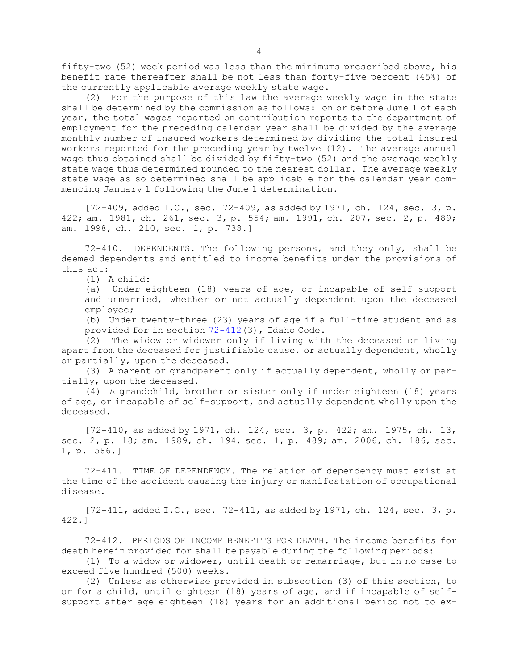fifty-two (52) week period was less than the minimums prescribed above, his benefit rate thereafter shall be not less than forty-five percent (45%) of the currently applicable average weekly state wage.

(2) For the purpose of this law the average weekly wage in the state shall be determined by the commission as follows: on or before June 1 of each year, the total wages reported on contribution reports to the department of employment for the preceding calendar year shall be divided by the average monthly number of insured workers determined by dividing the total insured workers reported for the preceding year by twelve (12). The average annual wage thus obtained shall be divided by fifty-two (52) and the average weekly state wage thus determined rounded to the nearest dollar. The average weekly state wage as so determined shall be applicable for the calendar year commencing January 1 following the June 1 determination.

 $[72-409, \text{ added I.C., sec. } 72-409, \text{ as added by } 1971, \text{ ch. } 124, \text{ sec. } 3, \text{ p.}$ 422; am. 1981, ch. 261, sec. 3, p. 554; am. 1991, ch. 207, sec. 2, p. 489; am. 1998, ch. 210, sec. 1, p. 738.]

72-410. DEPENDENTS. The following persons, and they only, shall be deemed dependents and entitled to income benefits under the provisions of this act:

(1) A child:

(a) Under eighteen (18) years of age, or incapable of self-support and unmarried, whether or not actually dependent upon the deceased employee;

(b) Under twenty-three (23) years of age if <sup>a</sup> full-time student and as provided for in section [72-412](https://legislature.idaho.gov/statutesrules/idstat/Title72/T72CH4/SECT72-412)(3), Idaho Code.

(2) The widow or widower only if living with the deceased or living apart from the deceased for justifiable cause, or actually dependent, wholly or partially, upon the deceased.

(3) <sup>A</sup> parent or grandparent only if actually dependent, wholly or partially, upon the deceased.

(4) <sup>A</sup> grandchild, brother or sister only if under eighteen (18) years of age, or incapable of self-support, and actually dependent wholly upon the deceased.

[72-410, as added by 1971, ch. 124, sec. 3, p. 422; am. 1975, ch. 13, sec. 2, p. 18; am. 1989, ch. 194, sec. 1, p. 489; am. 2006, ch. 186, sec. 1, p. 586.]

72-411. TIME OF DEPENDENCY. The relation of dependency must exist at the time of the accident causing the injury or manifestation of occupational disease.

 $[72-411,$  added I.C., sec.  $72-411$ , as added by 1971, ch. 124, sec. 3, p. 422.]

72-412. PERIODS OF INCOME BENEFITS FOR DEATH. The income benefits for death herein provided for shall be payable during the following periods:

(1) To <sup>a</sup> widow or widower, until death or remarriage, but in no case to exceed five hundred (500) weeks.

(2) Unless as otherwise provided in subsection (3) of this section, to or for <sup>a</sup> child, until eighteen (18) years of age, and if incapable of selfsupport after age eighteen (18) years for an additional period not to ex-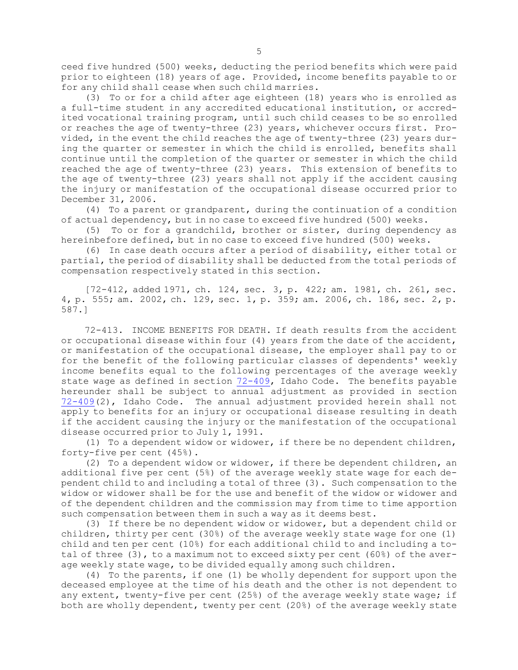ceed five hundred (500) weeks, deducting the period benefits which were paid prior to eighteen (18) years of age. Provided, income benefits payable to or for any child shall cease when such child marries.

(3) To or for <sup>a</sup> child after age eighteen (18) years who is enrolled as <sup>a</sup> full-time student in any accredited educational institution, or accredited vocational training program, until such child ceases to be so enrolled or reaches the age of twenty-three (23) years, whichever occurs first. Provided, in the event the child reaches the age of twenty-three (23) years during the quarter or semester in which the child is enrolled, benefits shall continue until the completion of the quarter or semester in which the child reached the age of twenty-three (23) years. This extension of benefits to the age of twenty-three (23) years shall not apply if the accident causing the injury or manifestation of the occupational disease occurred prior to December 31, 2006.

(4) To <sup>a</sup> parent or grandparent, during the continuation of <sup>a</sup> condition of actual dependency, but in no case to exceed five hundred (500) weeks.

(5) To or for <sup>a</sup> grandchild, brother or sister, during dependency as hereinbefore defined, but in no case to exceed five hundred (500) weeks.

(6) In case death occurs after <sup>a</sup> period of disability, either total or partial, the period of disability shall be deducted from the total periods of compensation respectively stated in this section.

[72-412, added 1971, ch. 124, sec. 3, p. 422; am. 1981, ch. 261, sec. 4, p. 555; am. 2002, ch. 129, sec. 1, p. 359; am. 2006, ch. 186, sec. 2, p. 587.]

72-413. INCOME BENEFITS FOR DEATH. If death results from the accident or occupational disease within four (4) years from the date of the accident, or manifestation of the occupational disease, the employer shall pay to or for the benefit of the following particular classes of dependents' weekly income benefits equal to the following percentages of the average weekly state wage as defined in section [72-409](https://legislature.idaho.gov/statutesrules/idstat/Title72/T72CH4/SECT72-409), Idaho Code. The benefits payable hereunder shall be subject to annual adjustment as provided in section [72-409](https://legislature.idaho.gov/statutesrules/idstat/Title72/T72CH4/SECT72-409)(2), Idaho Code. The annual adjustment provided herein shall not apply to benefits for an injury or occupational disease resulting in death if the accident causing the injury or the manifestation of the occupational disease occurred prior to July 1, 1991.

(1) To <sup>a</sup> dependent widow or widower, if there be no dependent children, forty-five per cent (45%).

(2) To <sup>a</sup> dependent widow or widower, if there be dependent children, an additional five per cent (5%) of the average weekly state wage for each dependent child to and including <sup>a</sup> total of three (3). Such compensation to the widow or widower shall be for the use and benefit of the widow or widower and of the dependent children and the commission may from time to time apportion such compensation between them in such <sup>a</sup> way as it deems best.

(3) If there be no dependent widow or widower, but <sup>a</sup> dependent child or children, thirty per cent (30%) of the average weekly state wage for one (1) child and ten per cent (10%) for each additional child to and including <sup>a</sup> total of three (3), to <sup>a</sup> maximum not to exceed sixty per cent (60%) of the average weekly state wage, to be divided equally among such children.

(4) To the parents, if one (1) be wholly dependent for support upon the deceased employee at the time of his death and the other is not dependent to any extent, twenty-five per cent (25%) of the average weekly state wage; if both are wholly dependent, twenty per cent (20%) of the average weekly state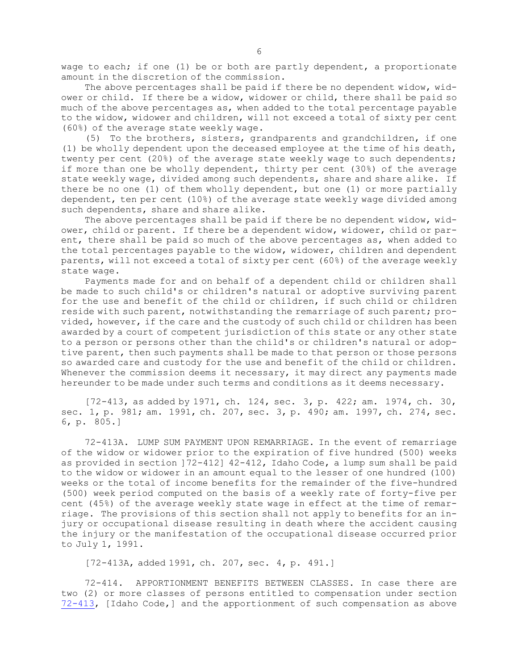wage to each; if one (1) be or both are partly dependent, <sup>a</sup> proportionate amount in the discretion of the commission.

The above percentages shall be paid if there be no dependent widow, widower or child. If there be <sup>a</sup> widow, widower or child, there shall be paid so much of the above percentages as, when added to the total percentage payable to the widow, widower and children, will not exceed <sup>a</sup> total of sixty per cent (60%) of the average state weekly wage.

(5) To the brothers, sisters, grandparents and grandchildren, if one (1) be wholly dependent upon the deceased employee at the time of his death, twenty per cent (20%) of the average state weekly wage to such dependents; if more than one be wholly dependent, thirty per cent (30%) of the average state weekly wage, divided among such dependents, share and share alike. If there be no one (1) of them wholly dependent, but one (1) or more partially dependent, ten per cent (10%) of the average state weekly wage divided among such dependents, share and share alike.

The above percentages shall be paid if there be no dependent widow, widower, child or parent. If there be <sup>a</sup> dependent widow, widower, child or parent, there shall be paid so much of the above percentages as, when added to the total percentages payable to the widow, widower, children and dependent parents, will not exceed <sup>a</sup> total of sixty per cent (60%) of the average weekly state wage.

Payments made for and on behalf of <sup>a</sup> dependent child or children shall be made to such child's or children's natural or adoptive surviving parent for the use and benefit of the child or children, if such child or children reside with such parent, notwithstanding the remarriage of such parent; provided, however, if the care and the custody of such child or children has been awarded by <sup>a</sup> court of competent jurisdiction of this state or any other state to <sup>a</sup> person or persons other than the child's or children's natural or adoptive parent, then such payments shall be made to that person or those persons so awarded care and custody for the use and benefit of the child or children. Whenever the commission deems it necessary, it may direct any payments made hereunder to be made under such terms and conditions as it deems necessary.

[72-413, as added by 1971, ch. 124, sec. 3, p. 422; am. 1974, ch. 30, sec. 1, p. 981; am. 1991, ch. 207, sec. 3, p. 490; am. 1997, ch. 274, sec. 6, p. 805.]

72-413A. LUMP SUM PAYMENT UPON REMARRIAGE. In the event of remarriage of the widow or widower prior to the expiration of five hundred (500) weeks as provided in section ]72-412] 42-412, Idaho Code, <sup>a</sup> lump sum shall be paid to the widow or widower in an amount equal to the lesser of one hundred (100) weeks or the total of income benefits for the remainder of the five-hundred (500) week period computed on the basis of <sup>a</sup> weekly rate of forty-five per cent (45%) of the average weekly state wage in effect at the time of remarriage. The provisions of this section shall not apply to benefits for an injury or occupational disease resulting in death where the accident causing the injury or the manifestation of the occupational disease occurred prior to July 1, 1991.

[72-413A, added 1991, ch. 207, sec. 4, p. 491.]

72-414. APPORTIONMENT BENEFITS BETWEEN CLASSES. In case there are two (2) or more classes of persons entitled to compensation under section [72-413](https://legislature.idaho.gov/statutesrules/idstat/Title72/T72CH4/SECT72-413), [Idaho Code,] and the apportionment of such compensation as above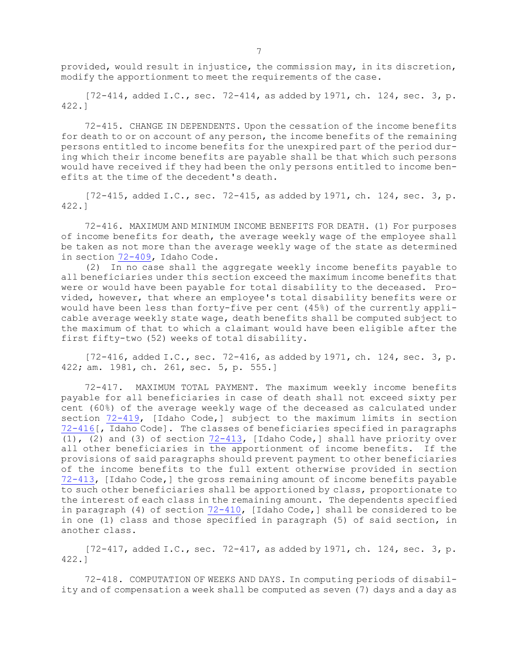provided, would result in injustice, the commission may, in its discretion, modify the apportionment to meet the requirements of the case.

 $[72-414, \text{ added I.C., sec. } 72-414, \text{ as added by } 1971, \text{ ch. } 124, \text{ sec. } 3, \text{ p.}$ 422.]

72-415. CHANGE IN DEPENDENTS. Upon the cessation of the income benefits for death to or on account of any person, the income benefits of the remaining persons entitled to income benefits for the unexpired part of the period during which their income benefits are payable shall be that which such persons would have received if they had been the only persons entitled to income benefits at the time of the decedent's death.

 $[72-415,$  added I.C., sec. 72-415, as added by 1971, ch. 124, sec. 3, p. 422.]

72-416. MAXIMUM AND MINIMUM INCOME BENEFITS FOR DEATH. (1) For purposes of income benefits for death, the average weekly wage of the employee shall be taken as not more than the average weekly wage of the state as determined in section [72-409](https://legislature.idaho.gov/statutesrules/idstat/Title72/T72CH4/SECT72-409), Idaho Code.

(2) In no case shall the aggregate weekly income benefits payable to all beneficiaries under this section exceed the maximum income benefits that were or would have been payable for total disability to the deceased. Provided, however, that where an employee's total disability benefits were or would have been less than forty-five per cent (45%) of the currently applicable average weekly state wage, death benefits shall be computed subject to the maximum of that to which <sup>a</sup> claimant would have been eligible after the first fifty-two (52) weeks of total disability.

 $[72-416, \text{ added I.C., sec. } 72-416, \text{ as added by } 1971, \text{ ch. } 124, \text{ sec. } 3, \text{ p.}$ 422; am. 1981, ch. 261, sec. 5, p. 555.]

72-417. MAXIMUM TOTAL PAYMENT. The maximum weekly income benefits payable for all beneficiaries in case of death shall not exceed sixty per cent (60%) of the average weekly wage of the deceased as calculated under section [72-419](https://legislature.idaho.gov/statutesrules/idstat/Title72/T72CH4/SECT72-419), [Idaho Code,] subject to the maximum limits in section [72-416](https://legislature.idaho.gov/statutesrules/idstat/Title72/T72CH4/SECT72-416)[, Idaho Code]. The classes of beneficiaries specified in paragraphs (1), (2) and (3) of section [72-413](https://legislature.idaho.gov/statutesrules/idstat/Title72/T72CH4/SECT72-413), [Idaho Code,] shall have priority over all other beneficiaries in the apportionment of income benefits. If the provisions of said paragraphs should prevent payment to other beneficiaries of the income benefits to the full extent otherwise provided in section [72-413](https://legislature.idaho.gov/statutesrules/idstat/Title72/T72CH4/SECT72-413), [Idaho Code,] the gross remaining amount of income benefits payable to such other beneficiaries shall be apportioned by class, proportionate to the interest of each class in the remaining amount. The dependents specified in paragraph (4) of section [72-410](https://legislature.idaho.gov/statutesrules/idstat/Title72/T72CH4/SECT72-410), [Idaho Code,] shall be considered to be in one (1) class and those specified in paragraph (5) of said section, in another class.

[72-417, added I.C., sec. 72-417, as added by 1971, ch. 124, sec. 3, p. 422.]

72-418. COMPUTATION OF WEEKS AND DAYS. In computing periods of disability and of compensation <sup>a</sup> week shall be computed as seven (7) days and <sup>a</sup> day as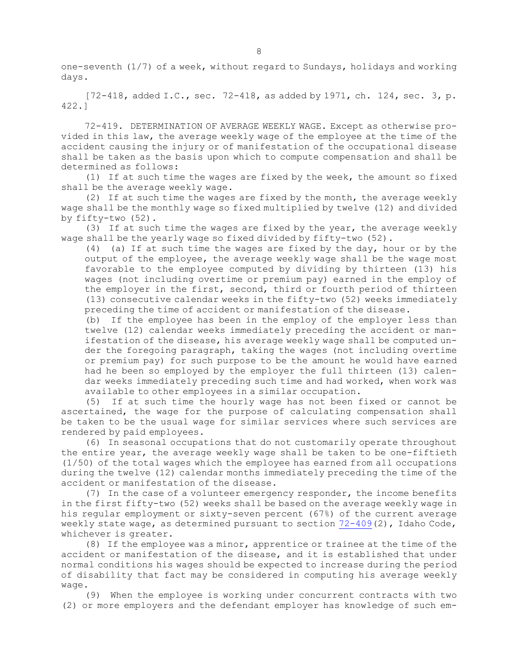one-seventh (1/7) of <sup>a</sup> week, without regard to Sundays, holidays and working days.

[72-418, added I.C., sec. 72-418, as added by 1971, ch. 124, sec. 3, p. 422.]

72-419. DETERMINATION OF AVERAGE WEEKLY WAGE. Except as otherwise provided in this law, the average weekly wage of the employee at the time of the accident causing the injury or of manifestation of the occupational disease shall be taken as the basis upon which to compute compensation and shall be determined as follows:

(1) If at such time the wages are fixed by the week, the amount so fixed shall be the average weekly wage.

(2) If at such time the wages are fixed by the month, the average weekly wage shall be the monthly wage so fixed multiplied by twelve (12) and divided by fifty-two (52).

(3) If at such time the wages are fixed by the year, the average weekly wage shall be the yearly wage so fixed divided by fifty-two (52).

(4) (a) If at such time the wages are fixed by the day, hour or by the output of the employee, the average weekly wage shall be the wage most favorable to the employee computed by dividing by thirteen (13) his wages (not including overtime or premium pay) earned in the employ of the employer in the first, second, third or fourth period of thirteen (13) consecutive calendar weeks in the fifty-two (52) weeks immediately preceding the time of accident or manifestation of the disease.

(b) If the employee has been in the employ of the employer less than twelve (12) calendar weeks immediately preceding the accident or manifestation of the disease, his average weekly wage shall be computed under the foregoing paragraph, taking the wages (not including overtime or premium pay) for such purpose to be the amount he would have earned had he been so employed by the employer the full thirteen (13) calendar weeks immediately preceding such time and had worked, when work was available to other employees in <sup>a</sup> similar occupation.

(5) If at such time the hourly wage has not been fixed or cannot be ascertained, the wage for the purpose of calculating compensation shall be taken to be the usual wage for similar services where such services are rendered by paid employees.

(6) In seasonal occupations that do not customarily operate throughout the entire year, the average weekly wage shall be taken to be one-fiftieth (1/50) of the total wages which the employee has earned from all occupations during the twelve (12) calendar months immediately preceding the time of the accident or manifestation of the disease.

(7) In the case of <sup>a</sup> volunteer emergency responder, the income benefits in the first fifty-two (52) weeks shall be based on the average weekly wage in his regular employment or sixty-seven percent (67%) of the current average weekly state wage, as determined pursuant to section [72-409](https://legislature.idaho.gov/statutesrules/idstat/Title72/T72CH4/SECT72-409)(2), Idaho Code, whichever is greater.

(8) If the employee was <sup>a</sup> minor, apprentice or trainee at the time of the accident or manifestation of the disease, and it is established that under normal conditions his wages should be expected to increase during the period of disability that fact may be considered in computing his average weekly wage.

(9) When the employee is working under concurrent contracts with two (2) or more employers and the defendant employer has knowledge of such em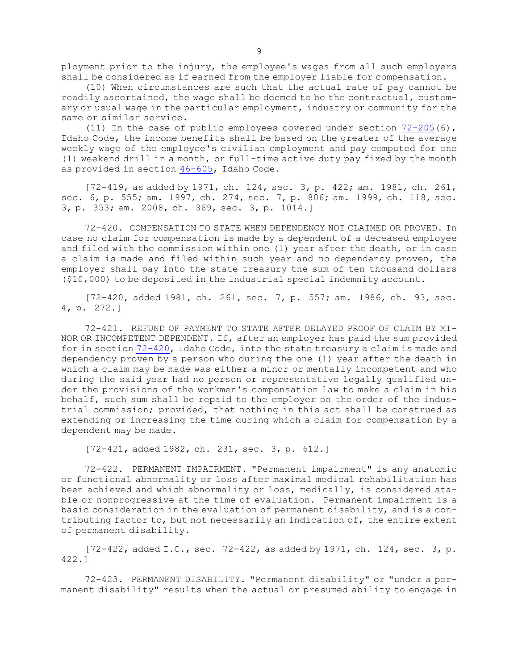ployment prior to the injury, the employee's wages from all such employers shall be considered as if earned from the employer liable for compensation.

(10) When circumstances are such that the actual rate of pay cannot be readily ascertained, the wage shall be deemed to be the contractual, customary or usual wage in the particular employment, industry or community for the same or similar service.

(11) In the case of public employees covered under section  $72-205(6)$  $72-205(6)$ , Idaho Code, the income benefits shall be based on the greater of the average weekly wage of the employee's civilian employment and pay computed for one (1) weekend drill in <sup>a</sup> month, or full-time active duty pay fixed by the month as provided in section [46-605](https://legislature.idaho.gov/statutesrules/idstat/Title46/T46CH6/SECT46-605), Idaho Code.

[72-419, as added by 1971, ch. 124, sec. 3, p. 422; am. 1981, ch. 261, sec. 6, p. 555; am. 1997, ch. 274, sec. 7, p. 806; am. 1999, ch. 118, sec. 3, p. 353; am. 2008, ch. 369, sec. 3, p. 1014.]

72-420. COMPENSATION TO STATE WHEN DEPENDENCY NOT CLAIMED OR PROVED. In case no claim for compensation is made by <sup>a</sup> dependent of <sup>a</sup> deceased employee and filed with the commission within one (1) year after the death, or in case <sup>a</sup> claim is made and filed within such year and no dependency proven, the employer shall pay into the state treasury the sum of ten thousand dollars (\$10,000) to be deposited in the industrial special indemnity account.

[72-420, added 1981, ch. 261, sec. 7, p. 557; am. 1986, ch. 93, sec. 4, p. 272.]

72-421. REFUND OF PAYMENT TO STATE AFTER DELAYED PROOF OF CLAIM BY MI-NOR OR INCOMPETENT DEPENDENT. If, after an employer has paid the sum provided for in section [72-420](https://legislature.idaho.gov/statutesrules/idstat/Title72/T72CH4/SECT72-420), Idaho Code, into the state treasury <sup>a</sup> claim is made and dependency proven by <sup>a</sup> person who during the one (1) year after the death in which <sup>a</sup> claim may be made was either <sup>a</sup> minor or mentally incompetent and who during the said year had no person or representative legally qualified under the provisions of the workmen's compensation law to make <sup>a</sup> claim in his behalf, such sum shall be repaid to the employer on the order of the industrial commission; provided, that nothing in this act shall be construed as extending or increasing the time during which <sup>a</sup> claim for compensation by <sup>a</sup> dependent may be made.

[72-421, added 1982, ch. 231, sec. 3, p. 612.]

72-422. PERMANENT IMPAIRMENT. "Permanent impairment" is any anatomic or functional abnormality or loss after maximal medical rehabilitation has been achieved and which abnormality or loss, medically, is considered stable or nonprogressive at the time of evaluation. Permanent impairment is <sup>a</sup> basic consideration in the evaluation of permanent disability, and is <sup>a</sup> contributing factor to, but not necessarily an indication of, the entire extent of permanent disability.

[72-422, added I.C., sec. 72-422, as added by 1971, ch. 124, sec. 3, p. 422.]

72-423. PERMANENT DISABILITY. "Permanent disability" or "under <sup>a</sup> permanent disability" results when the actual or presumed ability to engage in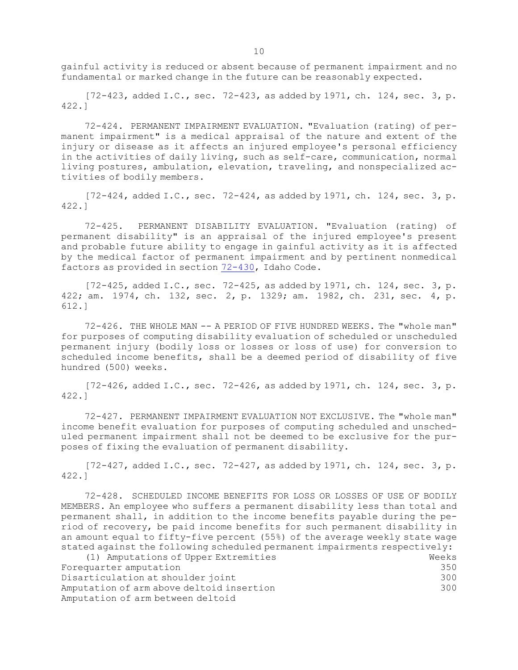gainful activity is reduced or absent because of permanent impairment and no fundamental or marked change in the future can be reasonably expected.

 $[72-423,$  added I.C., sec.  $72-423$ , as added by 1971, ch. 124, sec. 3, p. 422.]

72-424. PERMANENT IMPAIRMENT EVALUATION. "Evaluation (rating) of permanent impairment" is <sup>a</sup> medical appraisal of the nature and extent of the injury or disease as it affects an injured employee's personal efficiency in the activities of daily living, such as self-care, communication, normal living postures, ambulation, elevation, traveling, and nonspecialized activities of bodily members.

[72-424, added I.C., sec. 72-424, as added by 1971, ch. 124, sec. 3, p. 422.]

72-425. PERMANENT DISABILITY EVALUATION. "Evaluation (rating) of permanent disability" is an appraisal of the injured employee's present and probable future ability to engage in gainful activity as it is affected by the medical factor of permanent impairment and by pertinent nonmedical factors as provided in section [72-430](https://legislature.idaho.gov/statutesrules/idstat/Title72/T72CH4/SECT72-430), Idaho Code.

[72-425, added I.C., sec. 72-425, as added by 1971, ch. 124, sec. 3, p. 422; am. 1974, ch. 132, sec. 2, p. 1329; am. 1982, ch. 231, sec. 4, p. 612.]

72-426. THE WHOLE MAN -- A PERIOD OF FIVE HUNDRED WEEKS. The "whole man" for purposes of computing disability evaluation of scheduled or unscheduled permanent injury (bodily loss or losses or loss of use) for conversion to scheduled income benefits, shall be <sup>a</sup> deemed period of disability of five hundred (500) weeks.

 $[72-426, \text{ added I.C., sec. } 72-426, \text{ as added by } 1971, \text{ ch. } 124, \text{ sec. } 3, \text{ p.}$ 422.]

72-427. PERMANENT IMPAIRMENT EVALUATION NOT EXCLUSIVE. The "whole man" income benefit evaluation for purposes of computing scheduled and unscheduled permanent impairment shall not be deemed to be exclusive for the purposes of fixing the evaluation of permanent disability.

 $[72-427,$  added I.C., sec.  $72-427$ , as added by 1971, ch. 124, sec. 3, p. 422.]

72-428. SCHEDULED INCOME BENEFITS FOR LOSS OR LOSSES OF USE OF BODILY MEMBERS. An employee who suffers <sup>a</sup> permanent disability less than total and permanent shall, in addition to the income benefits payable during the period of recovery, be paid income benefits for such permanent disability in an amount equal to fifty-five percent (55%) of the average weekly state wage stated against the following scheduled permanent impairments respectively:

| (1) Amputations of Upper Extremities      | Weeks |
|-------------------------------------------|-------|
| Forequarter amputation                    | 350   |
| Disarticulation at shoulder joint         | 300   |
| Amputation of arm above deltoid insertion | 300   |
| Amputation of arm between deltoid         |       |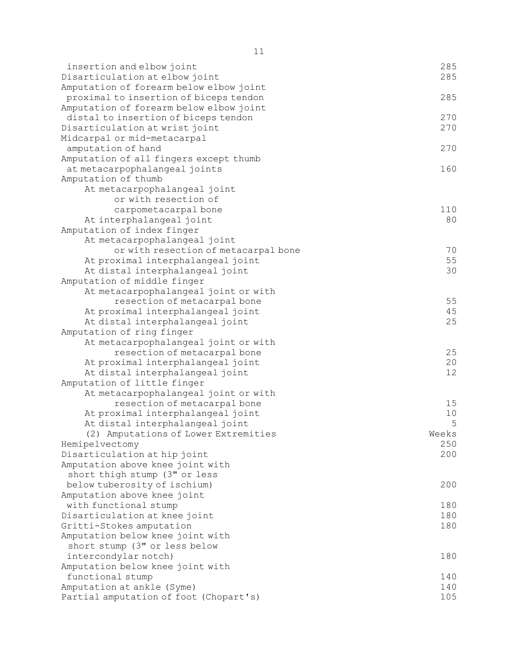| insertion and elbow joint<br>Disarticulation at elbow joint  | 285<br>285 |
|--------------------------------------------------------------|------------|
| Amputation of forearm below elbow joint                      |            |
| proximal to insertion of biceps tendon                       | 285        |
| Amputation of forearm below elbow joint                      |            |
| distal to insertion of biceps tendon                         | 270        |
| Disarticulation at wrist joint                               | 270        |
| Midcarpal or mid-metacarpal                                  |            |
| amputation of hand                                           | 270        |
| Amputation of all fingers except thumb                       |            |
| at metacarpophalangeal joints                                | 160        |
| Amputation of thumb                                          |            |
| At metacarpophalangeal joint                                 |            |
| or with resection of                                         |            |
| carpometacarpal bone                                         | 110        |
| At interphalangeal joint                                     | 80         |
| Amputation of index finger                                   |            |
| At metacarpophalangeal joint                                 |            |
| or with resection of metacarpal bone                         | 70         |
| At proximal interphalangeal joint                            | 55         |
| At distal interphalangeal joint                              | 30         |
| Amputation of middle finger                                  |            |
| At metacarpophalangeal joint or with                         |            |
| resection of metacarpal bone                                 | 55         |
| At proximal interphalangeal joint                            | 45         |
| At distal interphalangeal joint                              | 25         |
| Amputation of ring finger                                    |            |
| At metacarpophalangeal joint or with                         |            |
| resection of metacarpal bone                                 | 25         |
| At proximal interphalangeal joint                            | 20         |
| At distal interphalangeal joint                              | 12         |
| Amputation of little finger                                  |            |
| At metacarpophalangeal joint or with                         |            |
| resection of metacarpal bone                                 | 15         |
| At proximal interphalangeal joint                            | 10         |
| At distal interphalangeal joint                              | 5          |
| (2) Amputations of Lower Extremities                         | Weeks      |
| Hemipelvectomy                                               | 250        |
| Disarticulation at hip joint                                 | 200        |
| Amputation above knee joint with                             |            |
| short thigh stump (3" or less                                |            |
| below tuberosity of ischium)                                 | 200        |
| Amputation above knee joint                                  |            |
| with functional stump                                        | 180<br>180 |
| Disarticulation at knee joint                                | 180        |
| Gritti-Stokes amputation<br>Amputation below knee joint with |            |
| short stump (3" or less below                                |            |
| intercondylar notch)                                         | 180        |
| Amputation below knee joint with                             |            |
| functional stump                                             | 140        |
| Amputation at ankle (Syme)                                   | 140        |
| Partial amputation of foot (Chopart's)                       | 105        |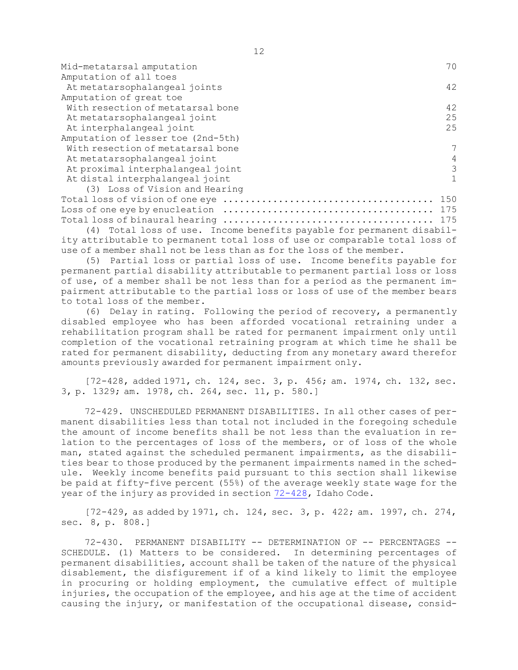| Mid-metatarsal amputation          | 70             |
|------------------------------------|----------------|
| Amputation of all toes             |                |
| At metatarsophalangeal joints      | 42             |
| Amputation of great toe            |                |
| With resection of metatarsal bone  | 42             |
| At metatarsophalangeal joint       | 25             |
| At interphalangeal joint           | 25             |
| Amputation of lesser toe (2nd-5th) |                |
| With resection of metatarsal bone  | 7              |
| At metatarsophalangeal joint       | $\overline{4}$ |
| At proximal interphalangeal joint  | 3              |
| At distal interphalangeal joint    |                |
| (3) Loss of Vision and Hearing     |                |
|                                    | 150            |
| Loss of one eye by enucleation     | 175            |

Total loss of binaural hearing ...................................... 175 (4) Total loss of use. Income benefits payable for permanent disability attributable to permanent total loss of use or comparable total loss of use of a member shall not be less than as for the loss of the member.

(5) Partial loss or partial loss of use. Income benefits payable for permanent partial disability attributable to permanent partial loss or loss of use, of <sup>a</sup> member shall be not less than for <sup>a</sup> period as the permanent impairment attributable to the partial loss or loss of use of the member bears to total loss of the member.

(6) Delay in rating. Following the period of recovery, <sup>a</sup> permanently disabled employee who has been afforded vocational retraining under <sup>a</sup> rehabilitation program shall be rated for permanent impairment only until completion of the vocational retraining program at which time he shall be rated for permanent disability, deducting from any monetary award therefor amounts previously awarded for permanent impairment only.

[72-428, added 1971, ch. 124, sec. 3, p. 456; am. 1974, ch. 132, sec. 3, p. 1329; am. 1978, ch. 264, sec. 11, p. 580.]

72-429. UNSCHEDULED PERMANENT DISABILITIES. In all other cases of permanent disabilities less than total not included in the foregoing schedule the amount of income benefits shall be not less than the evaluation in relation to the percentages of loss of the members, or of loss of the whole man, stated against the scheduled permanent impairments, as the disabilities bear to those produced by the permanent impairments named in the schedule. Weekly income benefits paid pursuant to this section shall likewise be paid at fifty-five percent (55%) of the average weekly state wage for the year of the injury as provided in section [72-428](https://legislature.idaho.gov/statutesrules/idstat/Title72/T72CH4/SECT72-428), Idaho Code.

[72-429, as added by 1971, ch. 124, sec. 3, p. 422; am. 1997, ch. 274, sec. 8, p. 808.]

72-430. PERMANENT DISABILITY -- DETERMINATION OF -- PERCENTAGES -- SCHEDULE. (1) Matters to be considered. In determining percentages of permanent disabilities, account shall be taken of the nature of the physical disablement, the disfigurement if of <sup>a</sup> kind likely to limit the employee in procuring or holding employment, the cumulative effect of multiple injuries, the occupation of the employee, and his age at the time of accident causing the injury, or manifestation of the occupational disease, consid-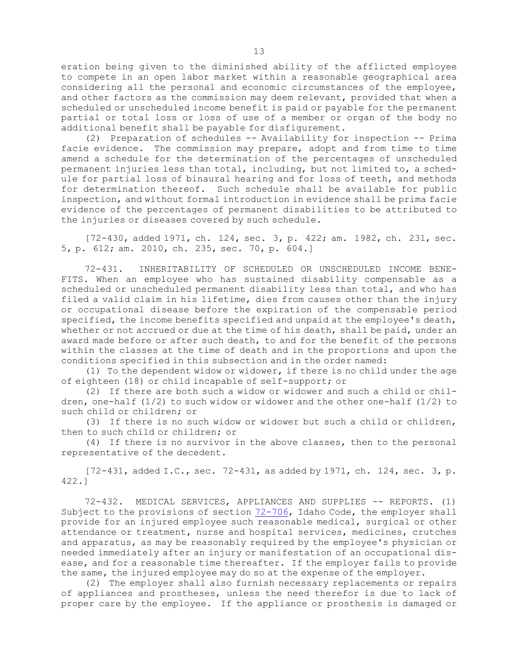eration being given to the diminished ability of the afflicted employee to compete in an open labor market within <sup>a</sup> reasonable geographical area considering all the personal and economic circumstances of the employee, and other factors as the commission may deem relevant, provided that when <sup>a</sup> scheduled or unscheduled income benefit is paid or payable for the permanent partial or total loss or loss of use of <sup>a</sup> member or organ of the body no additional benefit shall be payable for disfigurement.

(2) Preparation of schedules -- Availability for inspection -- Prima facie evidence. The commission may prepare, adopt and from time to time amend <sup>a</sup> schedule for the determination of the percentages of unscheduled permanent injuries less than total, including, but not limited to, <sup>a</sup> schedule for partial loss of binaural hearing and for loss of teeth, and methods for determination thereof. Such schedule shall be available for public inspection, and without formal introduction in evidence shall be prima facie evidence of the percentages of permanent disabilities to be attributed to the injuries or diseases covered by such schedule.

[72-430, added 1971, ch. 124, sec. 3, p. 422; am. 1982, ch. 231, sec. 5, p. 612; am. 2010, ch. 235, sec. 70, p. 604.]

72-431. INHERITABILITY OF SCHEDULED OR UNSCHEDULED INCOME BENE-FITS. When an employee who has sustained disability compensable as <sup>a</sup> scheduled or unscheduled permanent disability less than total, and who has filed <sup>a</sup> valid claim in his lifetime, dies from causes other than the injury or occupational disease before the expiration of the compensable period specified, the income benefits specified and unpaid at the employee's death, whether or not accrued or due at the time of his death, shall be paid, under an award made before or after such death, to and for the benefit of the persons within the classes at the time of death and in the proportions and upon the conditions specified in this subsection and in the order named:

(1) To the dependent widow or widower, if there is no child under the age of eighteen (18) or child incapable of self-support; or

(2) If there are both such <sup>a</sup> widow or widower and such <sup>a</sup> child or children, one-half  $(1/2)$  to such widow or widower and the other one-half  $(1/2)$  to such child or children; or

(3) If there is no such widow or widower but such <sup>a</sup> child or children, then to such child or children; or

(4) If there is no survivor in the above classes, then to the personal representative of the decedent.

 $[72-431,$  added I.C., sec.  $72-431,$  as added by 1971, ch. 124, sec. 3, p. 422.]

72-432. MEDICAL SERVICES, APPLIANCES AND SUPPLIES -- REPORTS. (1) Subject to the provisions of section [72-706](https://legislature.idaho.gov/statutesrules/idstat/Title72/T72CH7/SECT72-706), Idaho Code, the employer shall provide for an injured employee such reasonable medical, surgical or other attendance or treatment, nurse and hospital services, medicines, crutches and apparatus, as may be reasonably required by the employee's physician or needed immediately after an injury or manifestation of an occupational disease, and for <sup>a</sup> reasonable time thereafter. If the employer fails to provide the same, the injured employee may do so at the expense of the employer.

(2) The employer shall also furnish necessary replacements or repairs of appliances and prostheses, unless the need therefor is due to lack of proper care by the employee. If the appliance or prosthesis is damaged or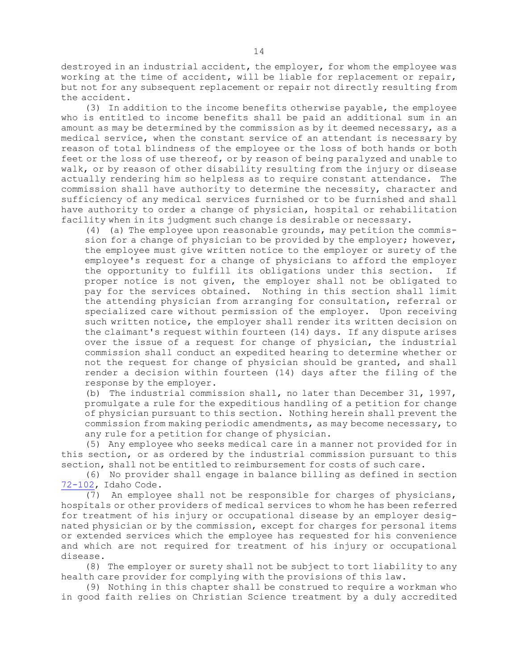destroyed in an industrial accident, the employer, for whom the employee was working at the time of accident, will be liable for replacement or repair, but not for any subsequent replacement or repair not directly resulting from the accident.

(3) In addition to the income benefits otherwise payable, the employee who is entitled to income benefits shall be paid an additional sum in an amount as may be determined by the commission as by it deemed necessary, as <sup>a</sup> medical service, when the constant service of an attendant is necessary by reason of total blindness of the employee or the loss of both hands or both feet or the loss of use thereof, or by reason of being paralyzed and unable to walk, or by reason of other disability resulting from the injury or disease actually rendering him so helpless as to require constant attendance. The commission shall have authority to determine the necessity, character and sufficiency of any medical services furnished or to be furnished and shall have authority to order <sup>a</sup> change of physician, hospital or rehabilitation facility when in its judgment such change is desirable or necessary.

(4) (a) The employee upon reasonable grounds, may petition the commission for <sup>a</sup> change of physician to be provided by the employer; however, the employee must give written notice to the employer or surety of the employee's request for <sup>a</sup> change of physicians to afford the employer the opportunity to fulfill its obligations under this section. If proper notice is not given, the employer shall not be obligated to pay for the services obtained. Nothing in this section shall limit the attending physician from arranging for consultation, referral or specialized care without permission of the employer. Upon receiving such written notice, the employer shall render its written decision on the claimant's request within fourteen (14) days. If any dispute arises over the issue of <sup>a</sup> request for change of physician, the industrial commission shall conduct an expedited hearing to determine whether or not the request for change of physician should be granted, and shall render <sup>a</sup> decision within fourteen (14) days after the filing of the response by the employer.

(b) The industrial commission shall, no later than December 31, 1997, promulgate <sup>a</sup> rule for the expeditious handling of <sup>a</sup> petition for change of physician pursuant to this section. Nothing herein shall prevent the commission from making periodic amendments, as may become necessary, to any rule for <sup>a</sup> petition for change of physician.

(5) Any employee who seeks medical care in <sup>a</sup> manner not provided for in this section, or as ordered by the industrial commission pursuant to this section, shall not be entitled to reimbursement for costs of such care.

(6) No provider shall engage in balance billing as defined in section [72-102](https://legislature.idaho.gov/statutesrules/idstat/Title72/T72CH1/SECT72-102), Idaho Code.

(7) An employee shall not be responsible for charges of physicians, hospitals or other providers of medical services to whom he has been referred for treatment of his injury or occupational disease by an employer designated physician or by the commission, except for charges for personal items or extended services which the employee has requested for his convenience and which are not required for treatment of his injury or occupational disease.

(8) The employer or surety shall not be subject to tort liability to any health care provider for complying with the provisions of this law.

(9) Nothing in this chapter shall be construed to require <sup>a</sup> workman who in good faith relies on Christian Science treatment by <sup>a</sup> duly accredited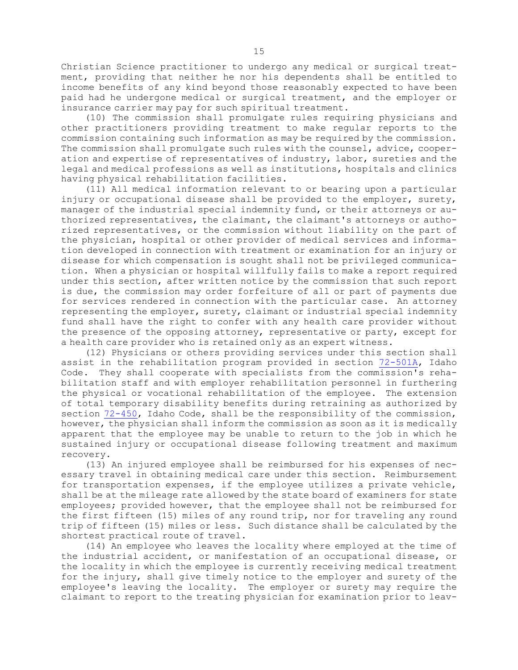Christian Science practitioner to undergo any medical or surgical treatment, providing that neither he nor his dependents shall be entitled to income benefits of any kind beyond those reasonably expected to have been paid had he undergone medical or surgical treatment, and the employer or insurance carrier may pay for such spiritual treatment.

(10) The commission shall promulgate rules requiring physicians and other practitioners providing treatment to make regular reports to the commission containing such information as may be required by the commission. The commission shall promulgate such rules with the counsel, advice, cooperation and expertise of representatives of industry, labor, sureties and the legal and medical professions as well as institutions, hospitals and clinics having physical rehabilitation facilities.

(11) All medical information relevant to or bearing upon <sup>a</sup> particular injury or occupational disease shall be provided to the employer, surety, manager of the industrial special indemnity fund, or their attorneys or authorized representatives, the claimant, the claimant's attorneys or authorized representatives, or the commission without liability on the part of the physician, hospital or other provider of medical services and information developed in connection with treatment or examination for an injury or disease for which compensation is sought shall not be privileged communication. When <sup>a</sup> physician or hospital willfully fails to make <sup>a</sup> report required under this section, after written notice by the commission that such report is due, the commission may order forfeiture of all or part of payments due for services rendered in connection with the particular case. An attorney representing the employer, surety, claimant or industrial special indemnity fund shall have the right to confer with any health care provider without the presence of the opposing attorney, representative or party, except for <sup>a</sup> health care provider who is retained only as an expert witness.

(12) Physicians or others providing services under this section shall assist in the rehabilitation program provided in section [72-501A](https://legislature.idaho.gov/statutesrules/idstat/Title72/T72CH5/SECT72-501A), Idaho Code. They shall cooperate with specialists from the commission's rehabilitation staff and with employer rehabilitation personnel in furthering the physical or vocational rehabilitation of the employee. The extension of total temporary disability benefits during retraining as authorized by section [72-450](https://legislature.idaho.gov/statutesrules/idstat/Title72/T72CH4/SECT72-450), Idaho Code, shall be the responsibility of the commission, however, the physician shall inform the commission as soon as it is medically apparent that the employee may be unable to return to the job in which he sustained injury or occupational disease following treatment and maximum recovery.

(13) An injured employee shall be reimbursed for his expenses of necessary travel in obtaining medical care under this section. Reimbursement for transportation expenses, if the employee utilizes <sup>a</sup> private vehicle, shall be at the mileage rate allowed by the state board of examiners for state employees; provided however, that the employee shall not be reimbursed for the first fifteen (15) miles of any round trip, nor for traveling any round trip of fifteen (15) miles or less. Such distance shall be calculated by the shortest practical route of travel.

(14) An employee who leaves the locality where employed at the time of the industrial accident, or manifestation of an occupational disease, or the locality in which the employee is currently receiving medical treatment for the injury, shall give timely notice to the employer and surety of the employee's leaving the locality. The employer or surety may require the claimant to report to the treating physician for examination prior to leav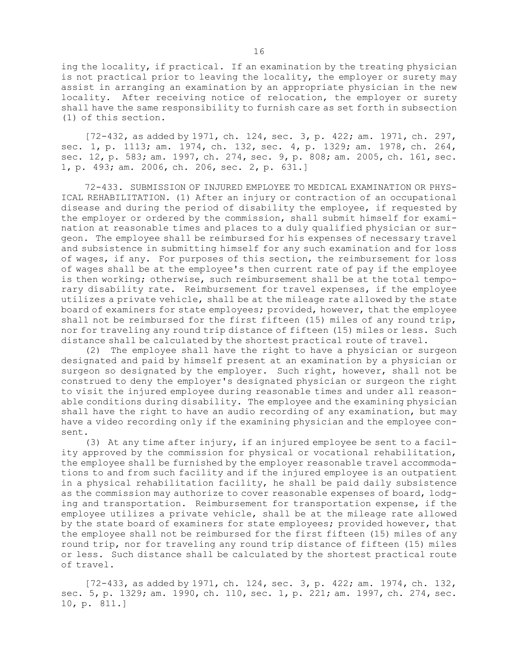ing the locality, if practical. If an examination by the treating physician is not practical prior to leaving the locality, the employer or surety may assist in arranging an examination by an appropriate physician in the new locality. After receiving notice of relocation, the employer or surety shall have the same responsibility to furnish care as set forth in subsection (1) of this section.

[72-432, as added by 1971, ch. 124, sec. 3, p. 422; am. 1971, ch. 297, sec. 1, p. 1113; am. 1974, ch. 132, sec. 4, p. 1329; am. 1978, ch. 264, sec. 12, p. 583; am. 1997, ch. 274, sec. 9, p. 808; am. 2005, ch. 161, sec. 1, p. 493; am. 2006, ch. 206, sec. 2, p. 631.]

72-433. SUBMISSION OF INJURED EMPLOYEE TO MEDICAL EXAMINATION OR PHYS-ICAL REHABILITATION. (1) After an injury or contraction of an occupational disease and during the period of disability the employee, if requested by the employer or ordered by the commission, shall submit himself for examination at reasonable times and places to <sup>a</sup> duly qualified physician or surgeon. The employee shall be reimbursed for his expenses of necessary travel and subsistence in submitting himself for any such examination and for loss of wages, if any. For purposes of this section, the reimbursement for loss of wages shall be at the employee's then current rate of pay if the employee is then working; otherwise, such reimbursement shall be at the total temporary disability rate. Reimbursement for travel expenses, if the employee utilizes <sup>a</sup> private vehicle, shall be at the mileage rate allowed by the state board of examiners for state employees; provided, however, that the employee shall not be reimbursed for the first fifteen (15) miles of any round trip, nor for traveling any round trip distance of fifteen (15) miles or less. Such distance shall be calculated by the shortest practical route of travel.

(2) The employee shall have the right to have <sup>a</sup> physician or surgeon designated and paid by himself present at an examination by <sup>a</sup> physician or surgeon so designated by the employer. Such right, however, shall not be construed to deny the employer's designated physician or surgeon the right to visit the injured employee during reasonable times and under all reasonable conditions during disability. The employee and the examining physician shall have the right to have an audio recording of any examination, but may have <sup>a</sup> video recording only if the examining physician and the employee consent.

(3) At any time after injury, if an injured employee be sent to <sup>a</sup> facility approved by the commission for physical or vocational rehabilitation, the employee shall be furnished by the employer reasonable travel accommodations to and from such facility and if the injured employee is an outpatient in <sup>a</sup> physical rehabilitation facility, he shall be paid daily subsistence as the commission may authorize to cover reasonable expenses of board, lodging and transportation. Reimbursement for transportation expense, if the employee utilizes <sup>a</sup> private vehicle, shall be at the mileage rate allowed by the state board of examiners for state employees; provided however, that the employee shall not be reimbursed for the first fifteen (15) miles of any round trip, nor for traveling any round trip distance of fifteen (15) miles or less. Such distance shall be calculated by the shortest practical route of travel.

[72-433, as added by 1971, ch. 124, sec. 3, p. 422; am. 1974, ch. 132, sec. 5, p. 1329; am. 1990, ch. 110, sec. 1, p. 221; am. 1997, ch. 274, sec. 10, p. 811.]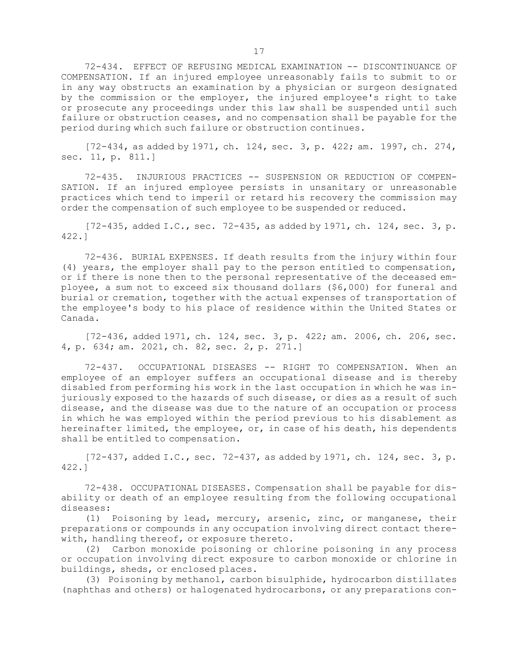72-434. EFFECT OF REFUSING MEDICAL EXAMINATION -- DISCONTINUANCE OF COMPENSATION. If an injured employee unreasonably fails to submit to or in any way obstructs an examination by <sup>a</sup> physician or surgeon designated by the commission or the employer, the injured employee's right to take or prosecute any proceedings under this law shall be suspended until such failure or obstruction ceases, and no compensation shall be payable for the period during which such failure or obstruction continues.

[72-434, as added by 1971, ch. 124, sec. 3, p. 422; am. 1997, ch. 274, sec. 11, p. 811.]

72-435. INJURIOUS PRACTICES -- SUSPENSION OR REDUCTION OF COMPEN-SATION. If an injured employee persists in unsanitary or unreasonable practices which tend to imperil or retard his recovery the commission may order the compensation of such employee to be suspended or reduced.

 $[72-435,$  added I.C., sec. 72-435, as added by 1971, ch. 124, sec. 3, p. 422.]

72-436. BURIAL EXPENSES. If death results from the injury within four (4) years, the employer shall pay to the person entitled to compensation, or if there is none then to the personal representative of the deceased employee, <sup>a</sup> sum not to exceed six thousand dollars (\$6,000) for funeral and burial or cremation, together with the actual expenses of transportation of the employee's body to his place of residence within the United States or Canada.

[72-436, added 1971, ch. 124, sec. 3, p. 422; am. 2006, ch. 206, sec. 4, p. 634; am. 2021, ch. 82, sec. 2, p. 271.]

72-437. OCCUPATIONAL DISEASES -- RIGHT TO COMPENSATION. When an employee of an employer suffers an occupational disease and is thereby disabled from performing his work in the last occupation in which he was injuriously exposed to the hazards of such disease, or dies as <sup>a</sup> result of such disease, and the disease was due to the nature of an occupation or process in which he was employed within the period previous to his disablement as hereinafter limited, the employee, or, in case of his death, his dependents shall be entitled to compensation.

 $[72-437, \text{ added I.C., sec. } 72-437, \text{ as added by } 1971, \text{ ch. } 124, \text{ sec. } 3, \text{ p.}$ 422.]

72-438. OCCUPATIONAL DISEASES. Compensation shall be payable for disability or death of an employee resulting from the following occupational diseases:

(1) Poisoning by lead, mercury, arsenic, zinc, or manganese, their preparations or compounds in any occupation involving direct contact therewith, handling thereof, or exposure thereto.

(2) Carbon monoxide poisoning or chlorine poisoning in any process or occupation involving direct exposure to carbon monoxide or chlorine in buildings, sheds, or enclosed places.

(3) Poisoning by methanol, carbon bisulphide, hydrocarbon distillates (naphthas and others) or halogenated hydrocarbons, or any preparations con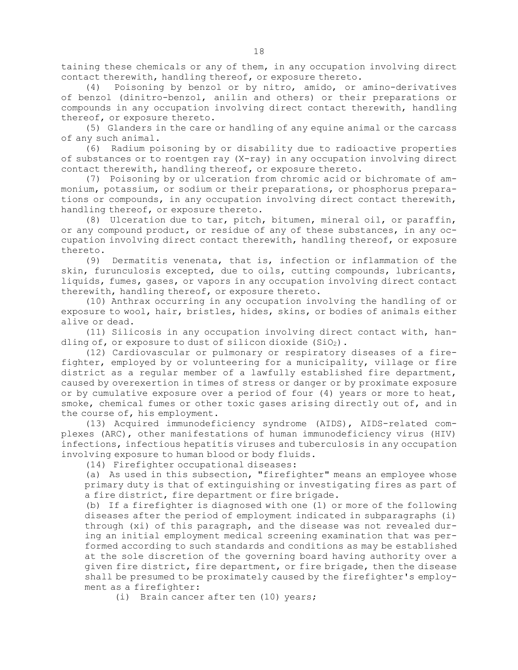taining these chemicals or any of them, in any occupation involving direct contact therewith, handling thereof, or exposure thereto.

(4) Poisoning by benzol or by nitro, amido, or amino-derivatives of benzol (dinitro-benzol, anilin and others) or their preparations or compounds in any occupation involving direct contact therewith, handling thereof, or exposure thereto.

(5) Glanders in the care or handling of any equine animal or the carcass of any such animal.

(6) Radium poisoning by or disability due to radioactive properties of substances or to roentgen ray (X-ray) in any occupation involving direct contact therewith, handling thereof, or exposure thereto.

(7) Poisoning by or ulceration from chromic acid or bichromate of ammonium, potassium, or sodium or their preparations, or phosphorus preparations or compounds, in any occupation involving direct contact therewith, handling thereof, or exposure thereto.

(8) Ulceration due to tar, pitch, bitumen, mineral oil, or paraffin, or any compound product, or residue of any of these substances, in any occupation involving direct contact therewith, handling thereof, or exposure thereto.

(9) Dermatitis venenata, that is, infection or inflammation of the skin, furunculosis excepted, due to oils, cutting compounds, lubricants, liquids, fumes, gases, or vapors in any occupation involving direct contact therewith, handling thereof, or exposure thereto.

(10) Anthrax occurring in any occupation involving the handling of or exposure to wool, hair, bristles, hides, skins, or bodies of animals either alive or dead.

(11) Silicosis in any occupation involving direct contact with, handling of, or exposure to dust of silicon dioxide (SiO2).

(12) Cardiovascular or pulmonary or respiratory diseases of <sup>a</sup> firefighter, employed by or volunteering for <sup>a</sup> municipality, village or fire district as <sup>a</sup> regular member of <sup>a</sup> lawfully established fire department, caused by overexertion in times of stress or danger or by proximate exposure or by cumulative exposure over <sup>a</sup> period of four (4) years or more to heat, smoke, chemical fumes or other toxic gases arising directly out of, and in the course of, his employment.

(13) Acquired immunodeficiency syndrome (AIDS), AIDS-related complexes (ARC), other manifestations of human immunodeficiency virus (HIV) infections, infectious hepatitis viruses and tuberculosis in any occupation involving exposure to human blood or body fluids.

(14) Firefighter occupational diseases:

(a) As used in this subsection, "firefighter" means an employee whose primary duty is that of extinguishing or investigating fires as part of <sup>a</sup> fire district, fire department or fire brigade.

(b) If <sup>a</sup> firefighter is diagnosed with one (1) or more of the following diseases after the period of employment indicated in subparagraphs (i) through (xi) of this paragraph, and the disease was not revealed during an initial employment medical screening examination that was performed according to such standards and conditions as may be established at the sole discretion of the governing board having authority over <sup>a</sup> given fire district, fire department, or fire brigade, then the disease shall be presumed to be proximately caused by the firefighter's employment as <sup>a</sup> firefighter:

(i) Brain cancer after ten (10) years;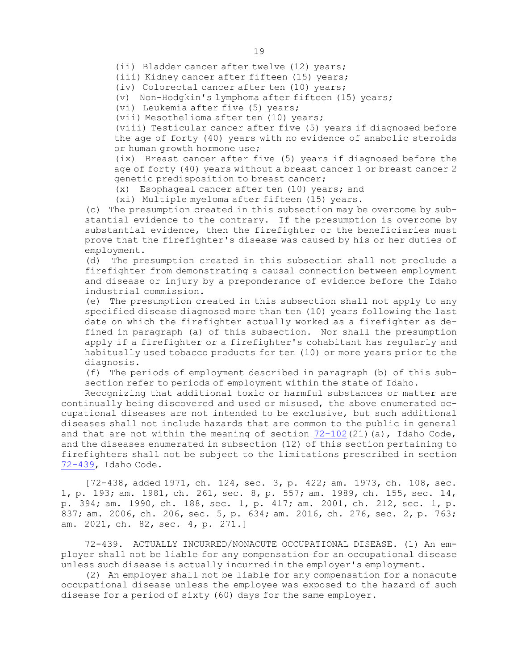(ii) Bladder cancer after twelve (12) years;

(iii) Kidney cancer after fifteen (15) years;

(iv) Colorectal cancer after ten (10) years;

(v) Non-Hodgkin's lymphoma after fifteen (15) years;

(vi) Leukemia after five (5) years;

(vii) Mesothelioma after ten (10) years;

(viii) Testicular cancer after five (5) years if diagnosed before the age of forty (40) years with no evidence of anabolic steroids or human growth hormone use;

(ix) Breast cancer after five (5) years if diagnosed before the age of forty (40) years without <sup>a</sup> breast cancer 1 or breast cancer 2 genetic predisposition to breast cancer;

(x) Esophageal cancer after ten (10) years; and

(xi) Multiple myeloma after fifteen (15) years.

(c) The presumption created in this subsection may be overcome by substantial evidence to the contrary. If the presumption is overcome by substantial evidence, then the firefighter or the beneficiaries must prove that the firefighter's disease was caused by his or her duties of employment.

(d) The presumption created in this subsection shall not preclude <sup>a</sup> firefighter from demonstrating <sup>a</sup> causal connection between employment and disease or injury by <sup>a</sup> preponderance of evidence before the Idaho industrial commission.

(e) The presumption created in this subsection shall not apply to any specified disease diagnosed more than ten (10) years following the last date on which the firefighter actually worked as <sup>a</sup> firefighter as defined in paragraph (a) of this subsection. Nor shall the presumption apply if <sup>a</sup> firefighter or <sup>a</sup> firefighter's cohabitant has regularly and habitually used tobacco products for ten (10) or more years prior to the diagnosis.

(f) The periods of employment described in paragraph (b) of this subsection refer to periods of employment within the state of Idaho.

Recognizing that additional toxic or harmful substances or matter are continually being discovered and used or misused, the above enumerated occupational diseases are not intended to be exclusive, but such additional diseases shall not include hazards that are common to the public in general and that are not within the meaning of section  $72-102(21)(a)$  $72-102(21)(a)$ , Idaho Code, and the diseases enumerated in subsection (12) of this section pertaining to firefighters shall not be subject to the limitations prescribed in section [72-439](https://legislature.idaho.gov/statutesrules/idstat/Title72/T72CH4/SECT72-439), Idaho Code.

[72-438, added 1971, ch. 124, sec. 3, p. 422; am. 1973, ch. 108, sec. 1, p. 193; am. 1981, ch. 261, sec. 8, p. 557; am. 1989, ch. 155, sec. 14, p. 394; am. 1990, ch. 188, sec. 1, p. 417; am. 2001, ch. 212, sec. 1, p. 837; am. 2006, ch. 206, sec. 5, p. 634; am. 2016, ch. 276, sec. 2, p. 763; am. 2021, ch. 82, sec. 4, p. 271.]

72-439. ACTUALLY INCURRED/NONACUTE OCCUPATIONAL DISEASE. (1) An employer shall not be liable for any compensation for an occupational disease unless such disease is actually incurred in the employer's employment.

(2) An employer shall not be liable for any compensation for <sup>a</sup> nonacute occupational disease unless the employee was exposed to the hazard of such disease for <sup>a</sup> period of sixty (60) days for the same employer.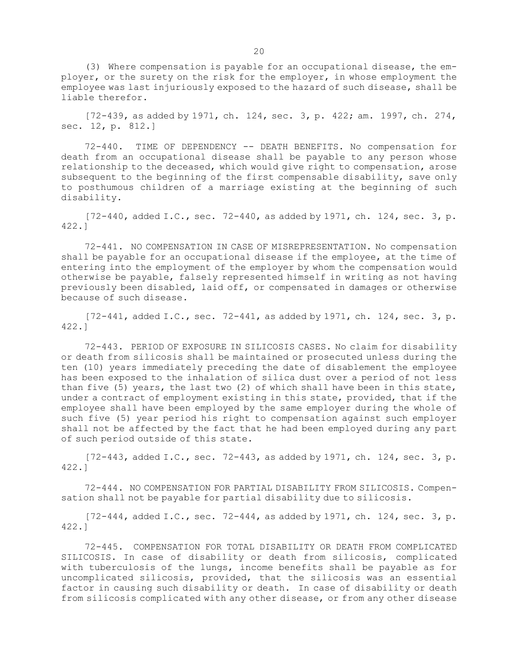(3) Where compensation is payable for an occupational disease, the employer, or the surety on the risk for the employer, in whose employment the employee was last injuriously exposed to the hazard of such disease, shall be liable therefor.

[72-439, as added by 1971, ch. 124, sec. 3, p. 422; am. 1997, ch. 274, sec. 12, p. 812.]

72-440. TIME OF DEPENDENCY -- DEATH BENEFITS. No compensation for death from an occupational disease shall be payable to any person whose relationship to the deceased, which would give right to compensation, arose subsequent to the beginning of the first compensable disability, save only to posthumous children of <sup>a</sup> marriage existing at the beginning of such disability.

 $[72-440, \text{ added I.C., sec. } 72-440, \text{ as added by } 1971, \text{ ch. } 124, \text{ sec. } 3, \text{ p.}$ 422.]

72-441. NO COMPENSATION IN CASE OF MISREPRESENTATION. No compensation shall be payable for an occupational disease if the employee, at the time of entering into the employment of the employer by whom the compensation would otherwise be payable, falsely represented himself in writing as not having previously been disabled, laid off, or compensated in damages or otherwise because of such disease.

[72-441, added I.C., sec. 72-441, as added by 1971, ch. 124, sec. 3, p. 422.]

72-443. PERIOD OF EXPOSURE IN SILICOSIS CASES. No claim for disability or death from silicosis shall be maintained or prosecuted unless during the ten (10) years immediately preceding the date of disablement the employee has been exposed to the inhalation of silica dust over <sup>a</sup> period of not less than five (5) years, the last two (2) of which shall have been in this state, under <sup>a</sup> contract of employment existing in this state, provided, that if the employee shall have been employed by the same employer during the whole of such five (5) year period his right to compensation against such employer shall not be affected by the fact that he had been employed during any part of such period outside of this state.

 $[72-443, \text{ added I.C., sec. } 72-443, \text{ as added by } 1971, \text{ ch. } 124, \text{ sec. } 3, \text{ p.}$ 422.]

72-444. NO COMPENSATION FOR PARTIAL DISABILITY FROM SILICOSIS. Compensation shall not be payable for partial disability due to silicosis.

 $[72-444,$  added I.C., sec.  $72-444$ , as added by 1971, ch. 124, sec. 3, p. 422.]

72-445. COMPENSATION FOR TOTAL DISABILITY OR DEATH FROM COMPLICATED SILICOSIS. In case of disability or death from silicosis, complicated with tuberculosis of the lungs, income benefits shall be payable as for uncomplicated silicosis, provided, that the silicosis was an essential factor in causing such disability or death. In case of disability or death from silicosis complicated with any other disease, or from any other disease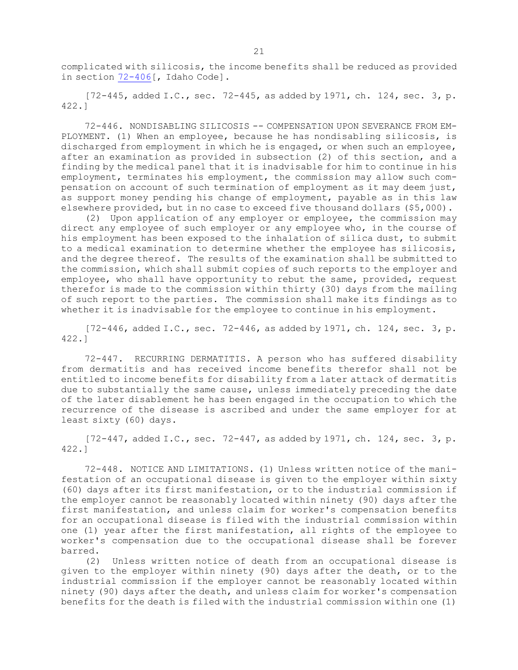complicated with silicosis, the income benefits shall be reduced as provided in section [72-406](https://legislature.idaho.gov/statutesrules/idstat/Title72/T72CH4/SECT72-406)[, Idaho Code].

 $[72-445, \text{ added I.C., sec. } 72-445, \text{ as added by } 1971, \text{ ch. } 124, \text{ sec. } 3, \text{ p.}$ 422.]

72-446. NONDISABLING SILICOSIS -- COMPENSATION UPON SEVERANCE FROM EM-PLOYMENT. (1) When an employee, because he has nondisabling silicosis, is discharged from employment in which he is engaged, or when such an employee, after an examination as provided in subsection (2) of this section, and <sup>a</sup> finding by the medical panel that it is inadvisable for him to continue in his employment, terminates his employment, the commission may allow such compensation on account of such termination of employment as it may deem just, as support money pending his change of employment, payable as in this law elsewhere provided, but in no case to exceed five thousand dollars (\$5,000).

(2) Upon application of any employer or employee, the commission may direct any employee of such employer or any employee who, in the course of his employment has been exposed to the inhalation of silica dust, to submit to <sup>a</sup> medical examination to determine whether the employee has silicosis, and the degree thereof. The results of the examination shall be submitted to the commission, which shall submit copies of such reports to the employer and employee, who shall have opportunity to rebut the same, provided, request therefor is made to the commission within thirty (30) days from the mailing of such report to the parties. The commission shall make its findings as to whether it is inadvisable for the employee to continue in his employment.

 $[72-446, \text{ added I.C.}, \text{sec. } 72-446, \text{as added by } 1971, \text{ch. } 124, \text{sec. } 3, \text{p.}$ 422.]

72-447. RECURRING DERMATITIS. <sup>A</sup> person who has suffered disability from dermatitis and has received income benefits therefor shall not be entitled to income benefits for disability from <sup>a</sup> later attack of dermatitis due to substantially the same cause, unless immediately preceding the date of the later disablement he has been engaged in the occupation to which the recurrence of the disease is ascribed and under the same employer for at least sixty (60) days.

[72-447, added I.C., sec. 72-447, as added by 1971, ch. 124, sec. 3, p. 422.]

72-448. NOTICE AND LIMITATIONS. (1) Unless written notice of the manifestation of an occupational disease is given to the employer within sixty (60) days after its first manifestation, or to the industrial commission if the employer cannot be reasonably located within ninety (90) days after the first manifestation, and unless claim for worker's compensation benefits for an occupational disease is filed with the industrial commission within one (1) year after the first manifestation, all rights of the employee to worker's compensation due to the occupational disease shall be forever barred.

(2) Unless written notice of death from an occupational disease is given to the employer within ninety (90) days after the death, or to the industrial commission if the employer cannot be reasonably located within ninety (90) days after the death, and unless claim for worker's compensation benefits for the death is filed with the industrial commission within one (1)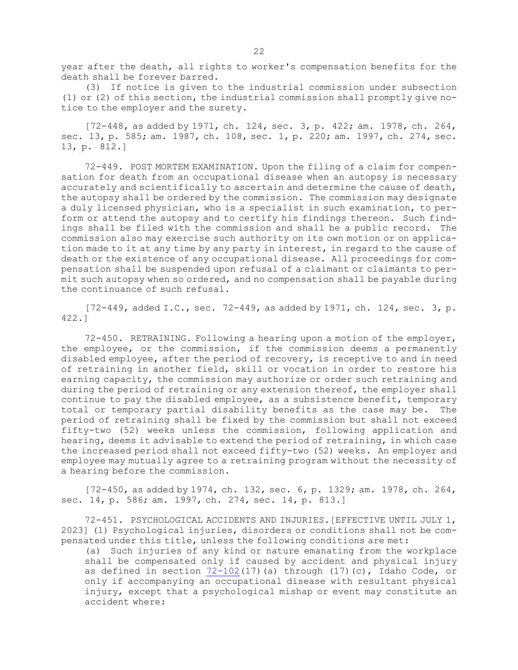year after the death, all rights to worker's compensation benefits for the death shall be forever barred.

(3) If notice is given to the industrial commission under subsection (1) or (2) of this section, the industrial commission shall promptly give notice to the employer and the surety.

[72-448, as added by 1971, ch. 124, sec. 3, p. 422; am. 1978, ch. 264, sec. 13, p. 585; am. 1987, ch. 108, sec. 1, p. 220; am. 1997, ch. 274, sec. 13, p. 812.]

72-449. POST MORTEM EXAMINATION. Upon the filing of <sup>a</sup> claim for compensation for death from an occupational disease when an autopsy is necessary accurately and scientifically to ascertain and determine the cause of death, the autopsy shall be ordered by the commission. The commission may designate <sup>a</sup> duly licensed physician, who is <sup>a</sup> specialist in such examination, to perform or attend the autopsy and to certify his findings thereon. Such findings shall be filed with the commission and shall be <sup>a</sup> public record. The commission also may exercise such authority on its own motion or on application made to it at any time by any party in interest, in regard to the cause of death or the existence of any occupational disease. All proceedings for compensation shall be suspended upon refusal of <sup>a</sup> claimant or claimants to permit such autopsy when so ordered, and no compensation shall be payable during the continuance of such refusal.

[72-449, added I.C., sec. 72-449, as added by 1971, ch. 124, sec. 3, p. 422.]

72-450. RETRAINING. Following <sup>a</sup> hearing upon <sup>a</sup> motion of the employer, the employee, or the commission, if the commission deems <sup>a</sup> permanently disabled employee, after the period of recovery, is receptive to and in need of retraining in another field, skill or vocation in order to restore his earning capacity, the commission may authorize or order such retraining and during the period of retraining or any extension thereof, the employer shall continue to pay the disabled employee, as <sup>a</sup> subsistence benefit, temporary total or temporary partial disability benefits as the case may be. The period of retraining shall be fixed by the commission but shall not exceed fifty-two (52) weeks unless the commission, following application and hearing, deems it advisable to extend the period of retraining, in which case the increased period shall not exceed fifty-two (52) weeks. An employer and employee may mutually agree to <sup>a</sup> retraining program without the necessity of <sup>a</sup> hearing before the commission.

[72-450, as added by 1974, ch. 132, sec. 6, p. 1329; am. 1978, ch. 264, sec. 14, p. 586; am. 1997, ch. 274, sec. 14, p. 813.]

72-451. PSYCHOLOGICAL ACCIDENTS AND INJURIES.[EFFECTIVE UNTIL JULY 1, 2023] (1) Psychological injuries, disorders or conditions shall not be compensated under this title, unless the following conditions are met:

(a) Such injuries of any kind or nature emanating from the workplace shall be compensated only if caused by accident and physical injury as defined in section  $72-102(17)$  $72-102(17)$  (a) through (17)(c), Idaho Code, or only if accompanying an occupational disease with resultant physical injury, except that <sup>a</sup> psychological mishap or event may constitute an accident where: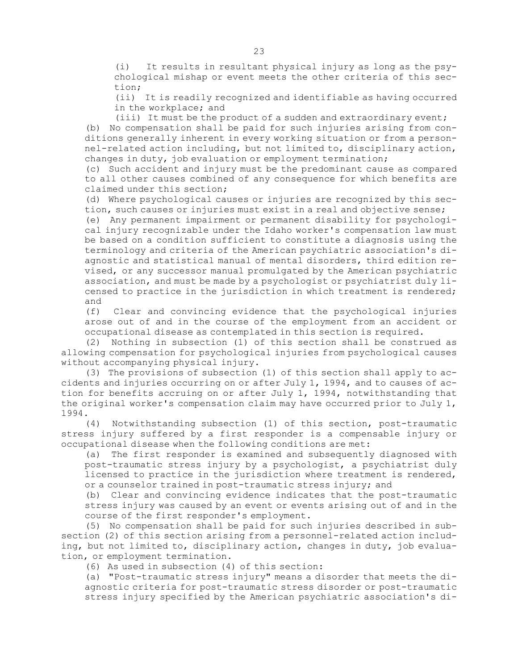(i) It results in resultant physical injury as long as the psychological mishap or event meets the other criteria of this section;

(ii) It is readily recognized and identifiable as having occurred in the workplace; and

(iii) It must be the product of <sup>a</sup> sudden and extraordinary event; (b) No compensation shall be paid for such injuries arising from conditions generally inherent in every working situation or from <sup>a</sup> personnel-related action including, but not limited to, disciplinary action, changes in duty, job evaluation or employment termination;

(c) Such accident and injury must be the predominant cause as compared to all other causes combined of any consequence for which benefits are claimed under this section;

(d) Where psychological causes or injuries are recognized by this section, such causes or injuries must exist in <sup>a</sup> real and objective sense;

(e) Any permanent impairment or permanent disability for psychological injury recognizable under the Idaho worker's compensation law must be based on <sup>a</sup> condition sufficient to constitute <sup>a</sup> diagnosis using the terminology and criteria of the American psychiatric association's diagnostic and statistical manual of mental disorders, third edition revised, or any successor manual promulgated by the American psychiatric association, and must be made by <sup>a</sup> psychologist or psychiatrist duly licensed to practice in the jurisdiction in which treatment is rendered; and

(f) Clear and convincing evidence that the psychological injuries arose out of and in the course of the employment from an accident or occupational disease as contemplated in this section is required.

(2) Nothing in subsection (1) of this section shall be construed as allowing compensation for psychological injuries from psychological causes without accompanying physical injury.

(3) The provisions of subsection (1) of this section shall apply to accidents and injuries occurring on or after July 1, 1994, and to causes of action for benefits accruing on or after July 1, 1994, notwithstanding that the original worker's compensation claim may have occurred prior to July 1, 1994.

(4) Notwithstanding subsection (1) of this section, post-traumatic stress injury suffered by <sup>a</sup> first responder is <sup>a</sup> compensable injury or occupational disease when the following conditions are met:

(a) The first responder is examined and subsequently diagnosed with post-traumatic stress injury by <sup>a</sup> psychologist, <sup>a</sup> psychiatrist duly licensed to practice in the jurisdiction where treatment is rendered, or <sup>a</sup> counselor trained in post-traumatic stress injury; and

(b) Clear and convincing evidence indicates that the post-traumatic stress injury was caused by an event or events arising out of and in the course of the first responder's employment.

(5) No compensation shall be paid for such injuries described in subsection (2) of this section arising from <sup>a</sup> personnel-related action including, but not limited to, disciplinary action, changes in duty, job evaluation, or employment termination.

(6) As used in subsection (4) of this section:

(a) "Post-traumatic stress injury" means <sup>a</sup> disorder that meets the diagnostic criteria for post-traumatic stress disorder or post-traumatic stress injury specified by the American psychiatric association's di